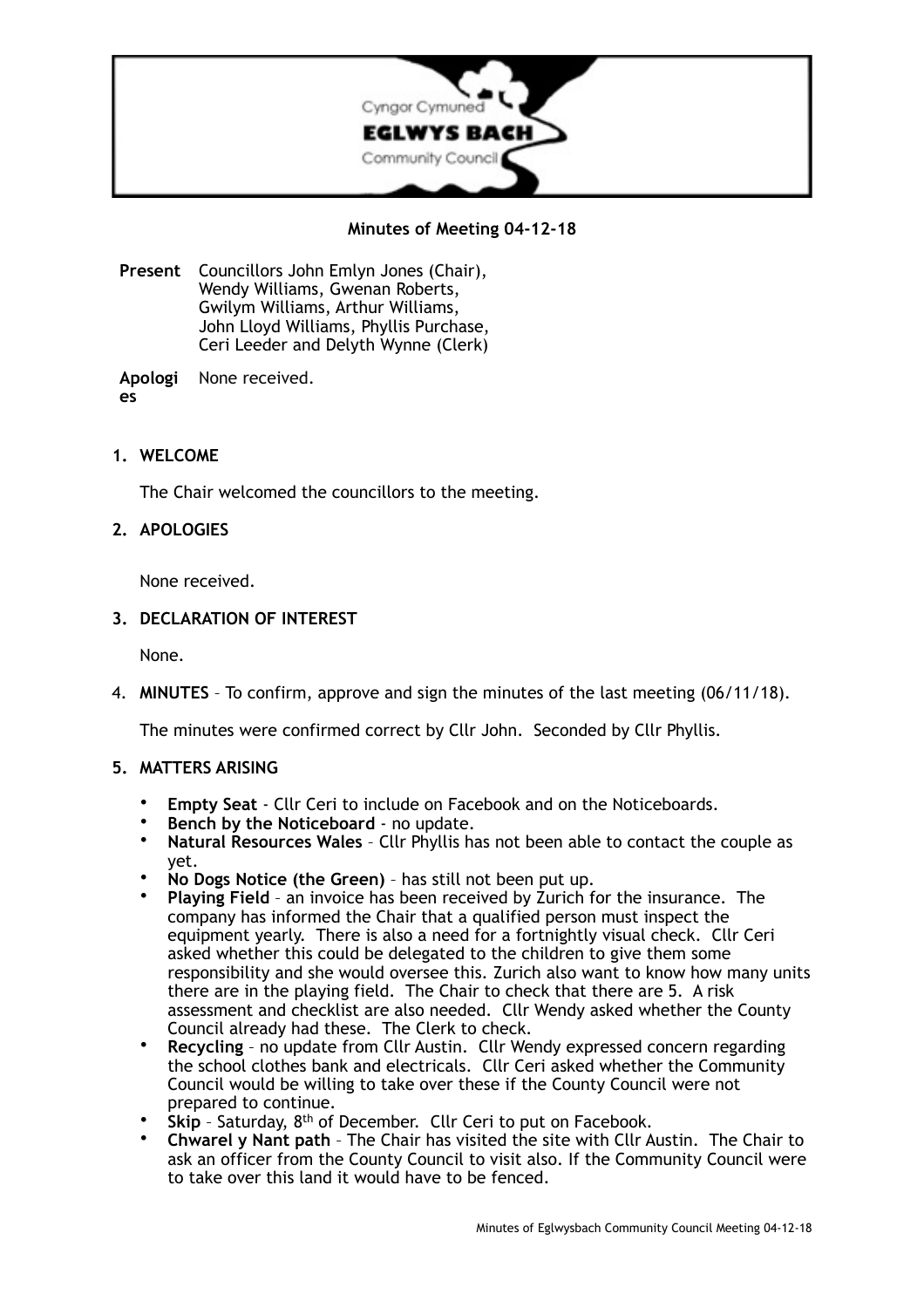

# **Minutes of Meeting 04-12-18**

**Present** Councillors John Emlyn Jones (Chair), Wendy Williams, Gwenan Roberts, Gwilym Williams, Arthur Williams, John Lloyd Williams, Phyllis Purchase, Ceri Leeder and Delyth Wynne (Clerk)

**Apologi es** None received.

**1. WELCOME** 

The Chair welcomed the councillors to the meeting.

## **2. APOLOGIES**

None received.

### **3. DECLARATION OF INTEREST**

None.

4. **MINUTES** – To confirm, approve and sign the minutes of the last meeting (06/11/18).

The minutes were confirmed correct by Cllr John. Seconded by Cllr Phyllis.

#### **5. MATTERS ARISING**

- **Empty Seat**  Cllr Ceri to include on Facebook and on the Noticeboards.
- **Bench by the Noticeboard** no update.<br>• Natural Resources Wales Cllr Phyllis has
- **Natural Resources Wales** Cllr Phyllis has not been able to contact the couple as yet.
- **No Dogs Notice (the Green)** has still not been put up.
- **Playing Field** an invoice has been received by Zurich for the insurance. The company has informed the Chair that a qualified person must inspect the equipment yearly. There is also a need for a fortnightly visual check. Cllr Ceri asked whether this could be delegated to the children to give them some responsibility and she would oversee this. Zurich also want to know how many units there are in the playing field. The Chair to check that there are 5. A risk assessment and checklist are also needed. Cllr Wendy asked whether the County Council already had these. The Clerk to check.
- **Recycling** no update from Cllr Austin. Cllr Wendy expressed concern regarding the school clothes bank and electricals. Cllr Ceri asked whether the Community Council would be willing to take over these if the County Council were not prepared to continue.
- **Skip** Saturday, 8<sup>th</sup> of December. Cllr Ceri to put on Facebook.
- **Chwarel y Nant path** The Chair has visited the site with Cllr Austin. The Chair to ask an officer from the County Council to visit also. If the Community Council were to take over this land it would have to be fenced.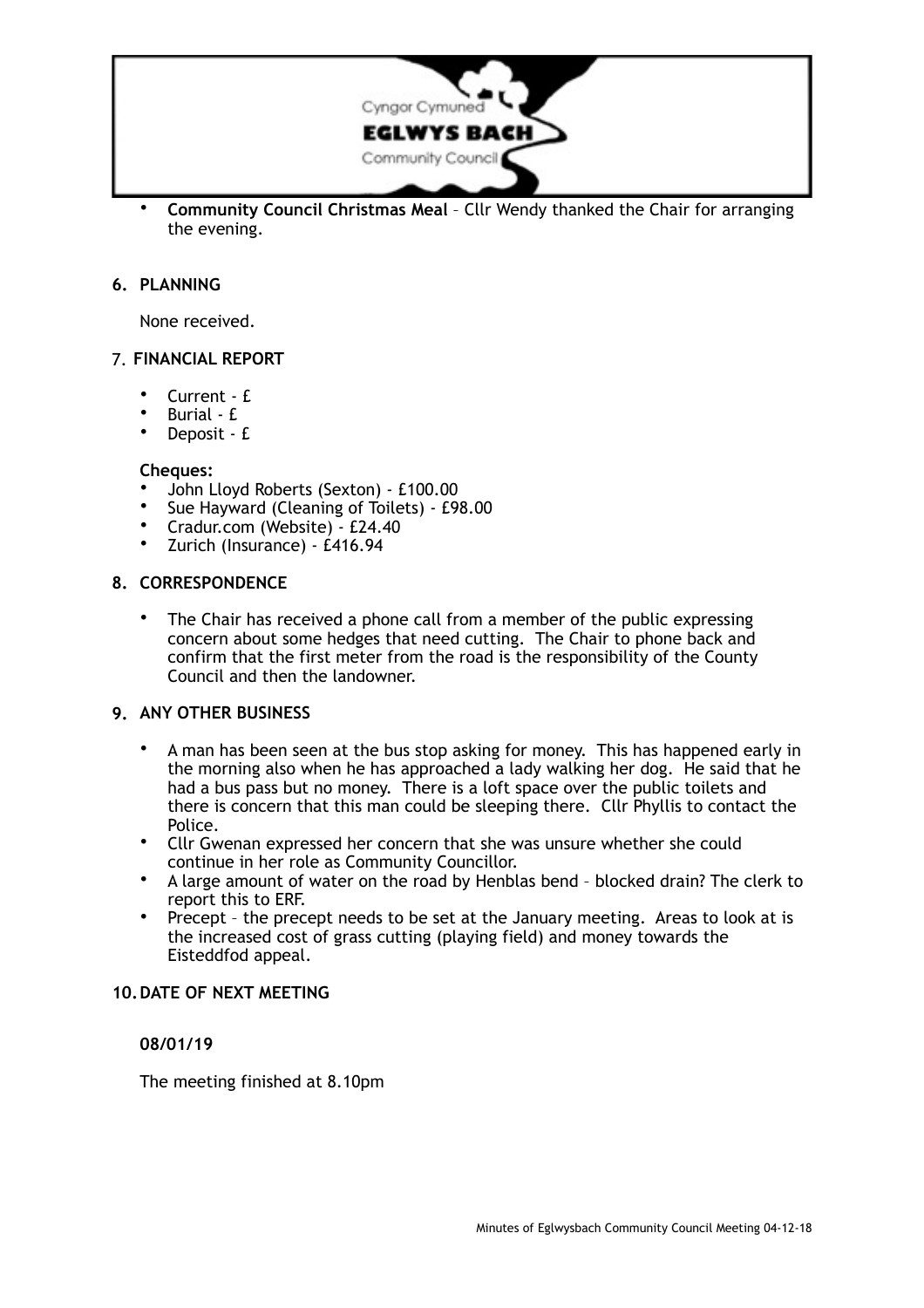

• **Community Council Christmas Meal** – Cllr Wendy thanked the Chair for arranging the evening.

## **6. PLANNING**

None received.

## 7. **FINANCIAL REPORT**

- Current £
- Burial £
- Deposit £

#### **Cheques:**

- John Lloyd Roberts (Sexton) £100.00
- Sue Hayward (Cleaning of Toilets) £98.00
- Cradur.com (Website) £24.40
- Zurich (Insurance) £416.94

### **8. CORRESPONDENCE**

The Chair has received a phone call from a member of the public expressing concern about some hedges that need cutting. The Chair to phone back and confirm that the first meter from the road is the responsibility of the County Council and then the landowner.

#### **9. ANY OTHER BUSINESS**

- A man has been seen at the bus stop asking for money. This has happened early in the morning also when he has approached a lady walking her dog. He said that he had a bus pass but no money. There is a loft space over the public toilets and there is concern that this man could be sleeping there. Cllr Phyllis to contact the Police.
- Cllr Gwenan expressed her concern that she was unsure whether she could continue in her role as Community Councillor.
- A large amount of water on the road by Henblas bend blocked drain? The clerk to report this to ERF.
- Precept the precept needs to be set at the January meeting. Areas to look at is the increased cost of grass cutting (playing field) and money towards the Eisteddfod appeal.

## **10.DATE OF NEXT MEETING**

### **08/01/19**

The meeting finished at 8.10pm